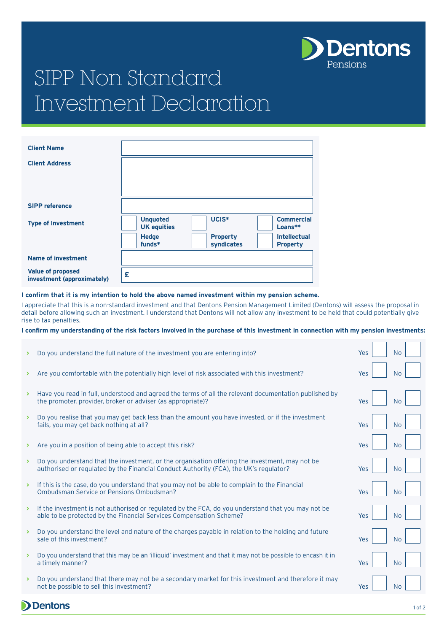

# SIPP Non Standard Investment Declaration

| <b>Client Name</b>                                     |                                       |                               |                                        |
|--------------------------------------------------------|---------------------------------------|-------------------------------|----------------------------------------|
| <b>Client Address</b>                                  |                                       |                               |                                        |
|                                                        |                                       |                               |                                        |
|                                                        |                                       |                               |                                        |
| <b>SIPP reference</b>                                  |                                       |                               |                                        |
| <b>Type of Investment</b>                              | <b>Unquoted</b><br><b>UK equities</b> | UCIS*                         | <b>Commercial</b><br>Loans**           |
|                                                        | <b>Hedge</b><br>funds*                | <b>Property</b><br>syndicates | <b>Intellectual</b><br><b>Property</b> |
| <b>Name of investment</b>                              |                                       |                               |                                        |
| <b>Value of proposed</b><br>investment (approximately) | £                                     |                               |                                        |

### **I confirm that it is my intention to hold the above named investment within my pension scheme.**

I appreciate that this is a non-standard investment and that Dentons Pension Management Limited (Dentons) will assess the proposal in detail before allowing such an investment. I understand that Dentons will not allow any investment to be held that could potentially give rise to tax penalties.

#### **I confirm my understanding of the risk factors involved in the purchase of this investment in connection with my pension investments:**

|                       | Do you understand the full nature of the investment you are entering into?                                                                                                              | Yes | <b>No</b> |
|-----------------------|-----------------------------------------------------------------------------------------------------------------------------------------------------------------------------------------|-----|-----------|
| ≻                     | Are you comfortable with the potentially high level of risk associated with this investment?                                                                                            | Yes | <b>No</b> |
| ×.                    | Have you read in full, understood and agreed the terms of all the relevant documentation published by<br>the promoter, provider, broker or adviser (as appropriate)?                    | Yes | <b>No</b> |
| ×.                    | Do you realise that you may get back less than the amount you have invested, or if the investment<br>fails, you may get back nothing at all?                                            | Yes | <b>No</b> |
| ×.                    | Are you in a position of being able to accept this risk?                                                                                                                                | Yes | <b>No</b> |
| ×.                    | Do you understand that the investment, or the organisation offering the investment, may not be<br>authorised or regulated by the Financial Conduct Authority (FCA), the UK's regulator? | Yes | <b>No</b> |
| $\blacktriangleright$ | If this is the case, do you understand that you may not be able to complain to the Financial<br>Ombudsman Service or Pensions Ombudsman?                                                | Yes | <b>No</b> |
| $\blacktriangleright$ | If the investment is not authorised or regulated by the FCA, do you understand that you may not be<br>able to be protected by the Financial Services Compensation Scheme?               | Yes | <b>No</b> |
| >                     | Do you understand the level and nature of the charges payable in relation to the holding and future<br>sale of this investment?                                                         | Yes | <b>No</b> |
| $\rightarrow$         | Do you understand that this may be an 'illiquid' investment and that it may not be possible to encash it in<br>a timely manner?                                                         | Yes | <b>No</b> |
|                       | Do you understand that there may not be a secondary market for this investment and therefore it may<br>not be possible to sell this investment?                                         | Yes | <b>No</b> |

**D** Dentons